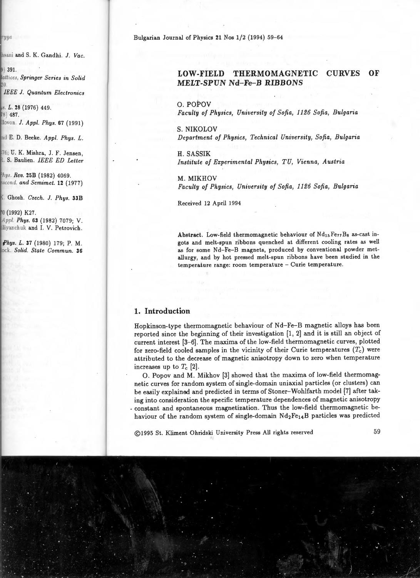Bulgarian Journal of Physics 21 Nos 1/2 {1994) 59-64

## **LOW-FIELD THERMOMAGNETIC CURVES OF MELT-SPUN Nd- Fe- B RIBBONS**

O. POPOV

*Faculty of Physics, University of Sofia, 1126 Sofia, Bulgaria* 

S. NIKOLOV

*Department of Physics, Technical University, Sofia, Bulgaria* 

H. SASSIK *Institute of Experimental Physics, TU, Vienna, Austria* 

M. MIKHOV *Faculty of Physics, University of Sofia, 1126 Sofia, Bulgaria* 

Received 12 April 1994

Abstract. Low-field thermomagnetic behaviour of  $Nd_{15}F_{27}B_8$  as-cast ingots and melt-spun ribbons quenched at different cooling rates as well as for some Nd-Fe-B magnets, produced by conventional powder metallurgy, and by hot pressed melt-spun ribbons have been studied in the temperature range: room temperature - Curie temperature.

## **1. Introduction**

Hopkinson-type thermomagnetic behaviour of Nd-Fe-B magnetic alloys has been reported since the beginning of their investigation (1, 2] and it is still an object of current interest [3-6]. The maxima of the low-field thermomagnetic curves, plotted for zero-field cooled samples in the vicinity of their Curie temperatures  $(T_c)$  were attributed to the decrease of magnetic anisotropy down to zero when temperature increases up to  $T_c$  [2].

0. Popov and M. Mikhov [3] showed that the maxima of low-field thermomagnetic curves for random system of single-domain uniaxial particles (or clusters) can be easily explained and predicted in terms of Stoner-Wohlfarth model [7] after taking into consideration the specific temperature dependences of magnetic anisotropy - constant and spontaneous magnetization. Thus the low-field thermomagnetic behaviour of the random system of single-domain Nd<sub>2</sub>Fe<sub>14</sub>B particles was predicted

@1995 St. Kliment Ohridski University Press All rights reserved 59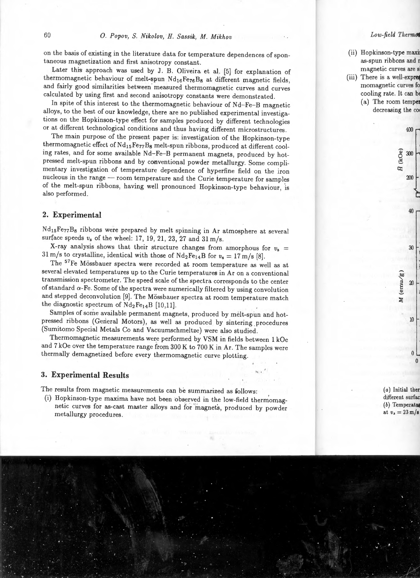on the basis of existing in the literature data for temperature dependences of spontaneous magnetization and first anisotropy constant.

Later this approach was used by J. B. Oliveira et al. [5] for explanation of thermomagnetic behaviour of melt-spun Nd15Fe76Bs at different magnetic fields, and fairly good similarities between measured thermomagnetic curves and curves calculated by using first and second anisotropy constants were demonstrated.

In spite of this interest to the thermomagnetic behaviour of Nd-Fe-B magnetic alloys, to the best of our knowledge, there are no published experimental investigations on the Hopkinson-type effect for samples produced by different technologies or at different technological conditions and thus having different microstructures.

The main purpose of the present paper is: investigation of the Hopkinson-type thermomagnetic effect of Nd<sub>15</sub>Fe<sub>77</sub>B<sub>8</sub> melt-spun ribbons, produced at different cooling rates, and for some available Nd-Fe-B permanent magnets, produced by hotpressed melt-spun ribbons and by conventional powder metallurgy. Some complimentary investigation of temperature dependence of hyperfine field on the iron nucleous in the range - room temperature and the Curie temperature for samples of the melt-spun ribbons, having well pronounced Hopkinson-type behaviour, is also performed.

# **2. Experimental**

Nd15Fe77Bs ribbons were prepared by melt spinning in Ar atmosphere at several surface speeds  $v_s$  of the wheel: 17, 19, 21, 23, 27 and 31 m/s.

X-ray analysis shows that their structure changes from amorphous for  $v_8$  = 31 m/s to crystalline, identical with those of  $Nd_2Fe_{14}B$  for  $v_s= 17$  m/s [8].

The <sup>57</sup> Fe Mössbauer spectra were recorded at room temperature as well as at several elevated temperatures up to the Curie temperatures in Ar on a conventional transmission spectrometer. The speed scale of the spectra corresponds to the center of standard  $\alpha$ -Fe. Some of the spectra were numerically filtered by using convolution and stepped deconvolution [9]. The Mössbauer spectra at room temperature match the diagnostic spectrum of  $Nd_2Fe_{14}B$  [10,11].

Samples of some available permanent magnets, produced by melt-spun and hotpressed ribbons (General Motors), as well as produced by sintering procedures (Sumitomo Special Metals Co and Vacuumschmeltze) were also studied.

Thermomagnetic measurements were performed by VSM in fields between 1 kOe and 7 kOe over the temperature range from 300 K to 700 Kin Ar. The samples were thermally demagnetized before every thermomagnetic curve plotting.

 $\overline{a}$ ,

### **3. Experimental Results**

The results from magnetic measurements can be summarized as follows:

(i) Hopkinson-type maxima have not been observed in the low-field thermomagnetic curves for as-cast master alloys and for 'magnets, produced by powder metallurgy procedures.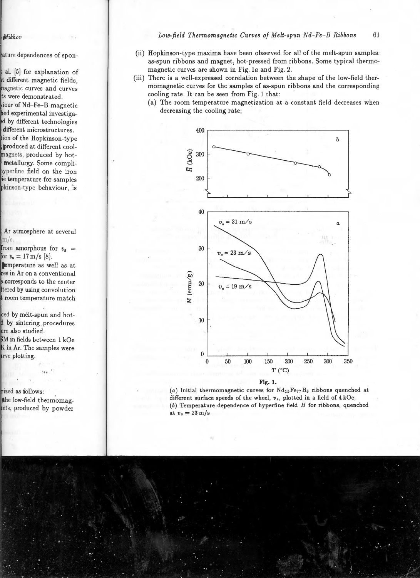- (ii) Hopkinson-type maxima have been observed for all of the melt-spun samples: as-spun ribbons and magnet, hot-pressed from ribbons. Some typical thermomagnetic curves are shown in Fig. la and Fig. 2.
- (iii) There is a well-expressed correlation between the shape of the low-field thermomagnetic curves for the samples of as-spun ribbons and the corresponding cooling rate. It can be seen from Fig. 1 that:
	- (a) The room temperature magnetization at a constant field decreases when decreasing the cooling rate;





(a) Initial thermomagnetic curves for  $Nd_{15}Fe_{77}B_8$  ribbons quenched at different surface speeds of the wheel,  $v_s$ , plotted in a field of 4 kOe; (b) Temperature dependence of hyperfine field  $\tilde{H}$  for ribbons, quenched at  $v_s = 23 \text{ m/s}$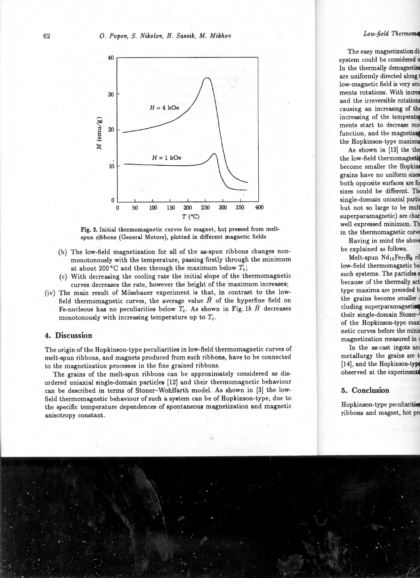

Fig. 2. Initial thermomagnetic curves for magnet, hot pressed from meltspun ribbons (General Motors), plotted in different magnetic fields

- (b) The low-field magnetization for all of the as-spun ribbons changes nonmonotonously with the temperature, passing firstly through the minimum at about 200 $\degree$ C and then through the maximum below  $T_c$ ;
- ( c) With decreasing the cooling rate the initial slope of the thermomagnetic curves decreases the rate, however the height of the maximum increases;
- (iv) The main result of Mössbauer experiment is that, in contrast to the lowfield thermomagnetic curves, the average value  $\bar{H}$  of the hyperfine field on Fe-nucleous has no peculiarities below  $T_c$ . As shown in Fig. 1b  $\bar{H}$  decreases monotonously with increasing temperature up to *Tc.*

#### **4. Discussion**

The origin of the Hopkinson-type peculiarities in low-field thermomagnetic curves of melt-spun ribbons, and magnets produced from such ribbons, have to be connected to the magnetization processes in the fine grained ribbons.

The grains of the melt-spun ribbons can be approximately considered as disordered uniaxial single-domain particles (12] and their thermomagnetic behaviour can be described in terms of Stoner-Wohlfarth model. As shown in (3] the lowfield thermomagnetic behaviour of such a system can be of Hopkinson-type, due to the specific temperature dependences of spontaneous magnetization and magnetic anisotropy constant.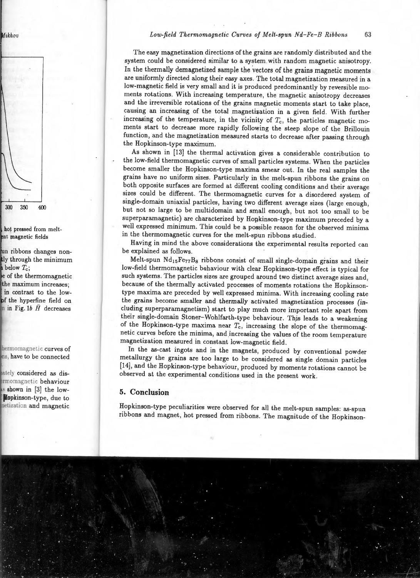The easy magnetization directions of the grains are randomly distributed and the system could be considered similar to a system with random magnetic anisotropy. In the thermally demagnetized sample the vectors of the grains magnetic moments are uniformly directed along their easy axes. The total magnetization measured in a low-magnetic field is very small and it is produced predominantly by reversible moments rotations. With increasing temperature, the magnetic anisotropy decreases and the irreversible rotations of the grains magnetic moments start to take place, causing an increasing of the total magnetization in a given field . With further increasing of the temperature, in the vicinity of  $T_c$ , the particles magnetic moments start to decrease more rapidly following the steep slope of the Brillouin function, and the magnetization measured starts to decrease after passing through the Hopkinson-type maximum.

As shown in (13] the thermal activation gives a considerable contribution to the low-field thermomagnetic curves of small particles systems. When the particles become smaller the Hopkinson-type maxima smear out. In the real samples the grains have no uniform sizes. Particularly in the melt-spun ribbons the grains on both opposite surfaces are formed at different cooling conditions and their average sizes could be different. The thermomagnetic curves for a disordered system of single-domain uniaxial particles, having two different average sizes (large enough, but not so large to be multidomain and small enough, but not too small to be superparamagnetic) are characterized by Hopkinson-type maximum preceded by a well expressed minimum. This could be a possible reason for the observed minima in the thermomagnetic curves for the melt-spun ribbons studied.

Having in mind the above considerations the experimental results reported can be explained as follows.

Melt-spun  $Nd_{15}Fe_{77}B_8$  ribbons consist of small single-domain grains and their low-field thermomagnetic behaviour with clear Hopkinson-type effect is typical for such systems. The particles sizes are grouped around two distinct average sizes and, because of the thermally activated processes of moments rotations the Hopkinsontype maxima are preceded by well expressed minima. With increasing cooling rate the grains become smaller and thermally activated magnetization processes (including superparamagnetism) start to play much more important role apart from their single-domain Stoner-Wohlfarth-type behaviour. Thjs leads to a weakening of the Hopkinson-type maxima near  $T_c$ , increasing the slope of the thermomagnetic curves before the minima, and increasing the values of the room temperature magnetization measured in constant low-magnetic field.

In the as-cast ingots and in the magnets, produced by conventional powder metallurgy the grains are too large to be considered as single domain particles (14], and the Hopkinson-type behaviour, produced by moments rotations cannot be observed at the experimental conditions used in the present work.

## **5. Conclusion**

Hopkinson-type peculiarities were observed for all the melt-spun samples: as-spun ribbons and magnet, hot pressed from ribbons. The magnitude of the Hopkinson